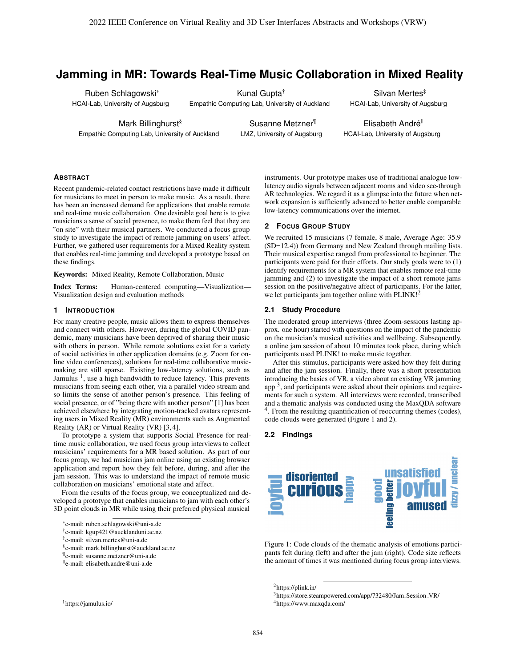# **Jamming in MR: Towards Real-Time Music Collaboration in Mixed Reality**

Ruben Schlagowski \* HCAI-Lab, University of Augsburg

Kunal Gupta † Empathic Computing Lab, University of Auckland

Mark Billinghurst § Empathic Computing Lab, University of Auckland

Susanne Metzner ¶ LMZ, University of Augsburg

Silvan Mertes ‡ HCAI-Lab, University of Augsburg

Elisabeth André<sup>®</sup> HCAI-Lab, University of Augsburg

# **ABSTRACT**

Recent pandemic-related contact restrictions have made it difficult for musicians to meet in person to make music. As a result, there has been an increased demand for applications that enable remote and real-time music collaboration. One desirable goal here is to give musicians a sense of social presence, to make them feel that they are "on site" with their musical partners. We conducted a focus group study to investigate the impact of remote jamming on users' affect. Further, we gathered user requirements for a Mixed Reality system that enables real-time jamming and developed a prototype based on these findings.

Keywords: Mixed Reality, Remote Collaboration, Music

Index Terms: Human-centered computing—Visualization— Visualization design and evaluation methods

### **1 INTRODUCTION**

For many creative people, music allows them to express themselves and connect with others. However, during the global COVID pandemic, many musicians have been deprived of sharing their music with others in person. While remote solutions exist for a variety of social activities in other application domains (e.g. Zoom for online video conferences), solutions for real-time collaborative musicmaking are still sparse. Existing low-latency solutions, such as Jamulus<sup>1</sup>, use a high bandwidth to reduce latency. This prevents musicians from seeing each other, via a parallel video stream and so limits the sense of another person's presence. This feeling of social presence, or of "being there with another person" [1] has been achieved elsewhere by integrating motion-tracked avatars representing users in Mixed Reality (MR) environments such as Augmented Reality (AR) or Virtual Reality (VR) [3, 4].

To prototype a system that supports Social Presence for realtime music collaboration, we used focus group interviews to collect musicians' requirements for a MR based solution. As part of our focus group, we had musicians jam online using an existing browser application and report how they felt before, during, and after the jam session. This was to understand the impact of remote music collaboration on musicians' emotional state and affect.

From the results of the focus group, we conceptualized and developed a prototype that enables musicians to jam with each other's 3D point clouds in MR while using their preferred physical musical

- § e-mail: mark.billinghurst@auckland.ac.nz
- ¶ e-mail: susanne.metzner@uni-a.de

<sup>1</sup>https://jamulus.io/

instruments. Our prototype makes use of traditional analogue lowlatency audio signals between adjacent rooms and video see-through AR technologies. We regard it as a glimpse into the future when network expansion is sufficiently advanced to better enable comparable low-latency communications over the internet.

### **2 FOCUS GROUP STUDY**

We recruited 15 musicians (7 female, 8 male, Average Age: 35.9 (SD=12.4)) from Germany and New Zealand through mailing lists. Their musical expertise ranged from professional to beginner. The participants were paid for their efforts. Our study goals were to (1) identify requirements for a MR system that enables remote real-time jamming and (2) to investigate the impact of a short remote jams session on the positive/negative affect of participants. For the latter, we let participants jam together online with PLINK!<sup>2</sup>

### **2.1 Study Procedure**

The moderated group interviews (three Zoom-sessions lasting approx. one hour) started with questions on the impact of the pandemic on the musician's musical activities and wellbeing. Subsequently, a online jam session of about 10 minutes took place, during which participants used PLINK! to make music together.

After this stimulus, participants were asked how they felt during and after the jam session. Finally, there was a short presentation introducing the basics of VR, a video about an existing VR jamming app<sup>3</sup>, and participants were asked about their opinions and requirements for such a system. All interviews were recorded, transcribed and a thematic analysis was conducted using the MaxQDA software <sup>4</sup>. From the resulting quantification of reoccurring themes (codes), code clouds were generated (Figure 1 and 2).

# **2.2 Findings**



Figure 1: Code clouds of the thematic analysis of emotions participants felt during (left) and after the jam (right). Code size reflects the amount of times it was mentioned during focus group interviews.

<sup>2</sup>https://plink.in/

854

<sup>\*</sup>e-mail: ruben.schlagowski@uni-a.de

<sup>†</sup> e-mail: kgup421@aucklanduni.ac.nz

<sup>‡</sup> e-mail: silvan.mertes@uni-a.de

<sup>||</sup> e-mail: elisabeth.andre@uni-a.de

<sup>3</sup>https://store.steampowered.com/app/732480/Jam Session VR/ <sup>4</sup>https://www.maxqda.com/